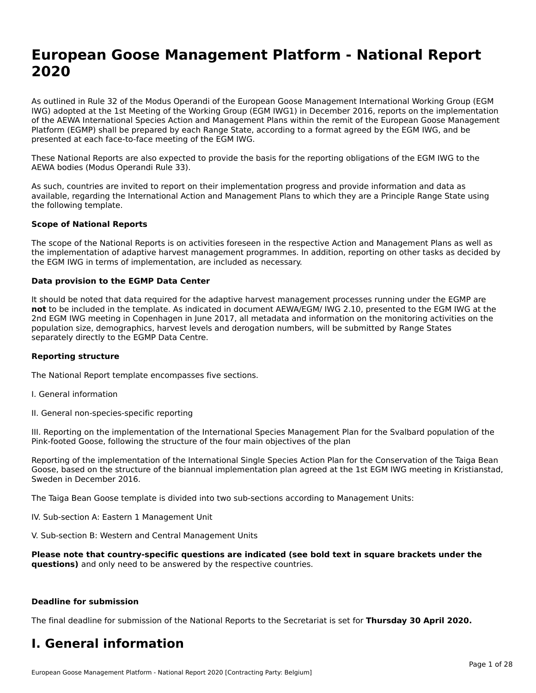# **European Goose Management Platform - National Report**European Goose Management Platform - National **Neport**<br>2020

As outlined in Rule 32 of the Modus Operandi of the European Goose Management International Working Group (EGM As buthled in Rule 32 of the Modus Operandi of the Lufopean Goose Management International Working Group (LGM<br>IWG) adopted at the 1st Meeting of the Working Group (EGM IWG1) in December 2016, reports on the implementation of the AEWA International Species Action and Management Plans within the remit of the European Goose Management Platform (EGMP) shall be prepared by each Range State, according to a format agreed by the EGM IWG, and be presented at each face-to-face meeting of the EGM IWG.

These National Reports are also expected to provide the basis for the reporting obligations of the EGM IWG to the AEWA bodies (Modus Operandi Rule 33).

As such, countries are invited to report on their implementation progress and provide information and data as<br>available, regarding the International Action and Management Plans to which they are a Principle Range State usi available, regarding the International Action and Management Plans to which they are a Principle Range State using the following template.

### **Scope of National Reports**

The scope of the National Reports is on activities foreseen in the respective Action and Management Plans as well as The scope of the National Reports is on activities foreseen in the respective Action and Management Plans as well as<br>the implementation of adaptive harvest management programmes. In addition, reporting on other tasks as de the EGM IWG in terms of implementation, are included as necessary.

### **Data provision to the EGMP Data Center**

It should be noted that data required for the adaptive harvest management processes running under the EGMP are **not** to be included in the template. As indicated in document AEWA/EGM/ IWG 2.10, presented to the EGM IWG at the 2nd EGM IWG meeting in Copenhagen in June 2017, all metadata and information on the monitoring activities on the population size, demographics, harvest levels and derogation numbers, will be submitted by Range States separately directly to the EGMP Data Centre.

### **Reporting structure**

The National Report template encompasses five sections.

- I. General information
- II. General non-species-specific reporting

III. Reporting on the implementation of the International Species Management Plan for the Svalbard population of the

Reporting of the implementation of the International Single Species Action Plan for the Conservation of the Taiga Bean Reporting of the implementation of the international single species Action Fram for the conservation of the laiga beam<br>Goose, based on the structure of the biannual implementation plan agreed at the 1st EGM IWG meeting in

The Taiga Bean Goose template is divided into two sub-sections according to Management Units:

IV. Sub-section A: Eastern 1 Management Unit

V. Sub-section B: Western and Central Management Units

Please note that country-specific questions are indicated (see bold text in square brackets under the **questions)** and only need to be answered by the respective countries.

#### **Deadline for submission**

The final deadline for submission of the National Reports to the Secretariat is set for **Thursday 30 April 2020.**

### **I. General information**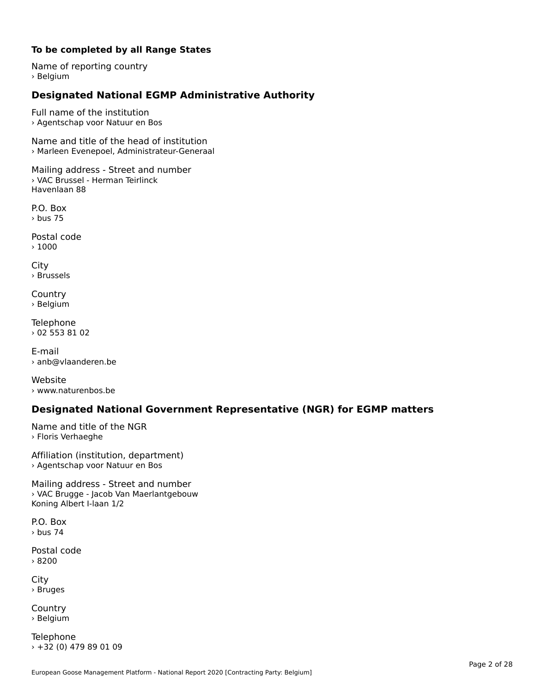### **To be completed by all Range States**

Name of reporting country › Belgium

# **Designated National EGMP Administrative Authority**

Full name of the institution› Agentschap voor Natuur en Bos

Name and title of the head of institution › Marleen Evenepoel, Administrateur-Generaal

Mailing address - Street and number › VAC Brussel - Herman Teirlinck Havenlaan 88

P.O. Box› bus 75

Postal code › 1000

City › Brussels

**Country** country<br>› Belgium

Telephone › 02 553 81 02

E-mail› anb@vlaanderen.be

Website› www.naturenbos.be

## **Designated National Government Representative (NGR) for EGMP matters**

Name and title of the NGR › Floris Verhaeghe

Affiliation (institution, department) › Agentschap voor Natuur en Bos

Mailing address - Street and number › VAC Brugge - Jacob Van Maerlantgebouw Koning Albert I-laan 1/2

P.O. Box› bus 74

Postal code› 8200

City › Bruges

**Country** country<br>› Belgium

Telephone › +32 (0) 479 89 01 09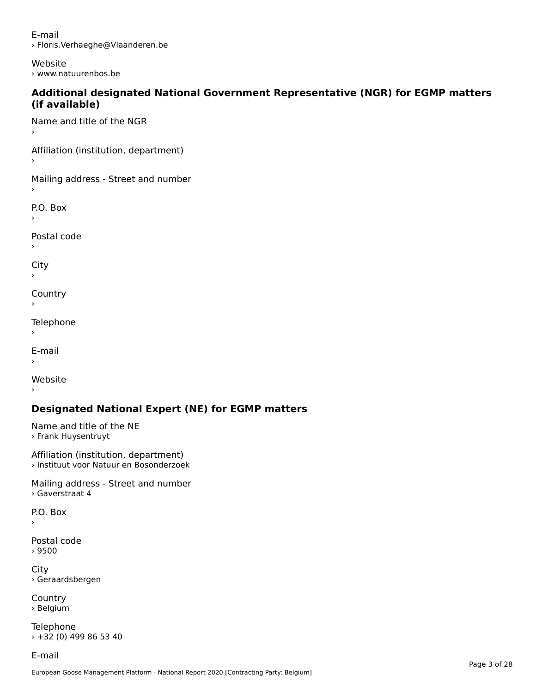E-mail› Floris.Verhaeghe@Vlaanderen.be

Website› www.natuurenbos.be

### **Additional designated National Government Representative (NGR) for EGMP matters (if available)**(if available)

Name and title of the NGR›

Affiliation (institution, department)

Mailing address - Street and number

P.O. Box

Postal code

›

City

**Country** 

Telephone

 $\bar{\phantom{a}}$ 

E-mail

›

Website

# **Designated National Expert (NE) for EGMP matters**

Name and title of the NE › Frank Huysentruyt

Affiliation (institution, department) › Instituut voor Natuur en Bosonderzoek

Mailing address - Street and number › Gaverstraat 4

P.O. Box

›

Postal code› 9500

City › Geraardsbergen

**Country** country<br>› Belgium

Telephone › +32 (0) 499 86 53 40

E-mail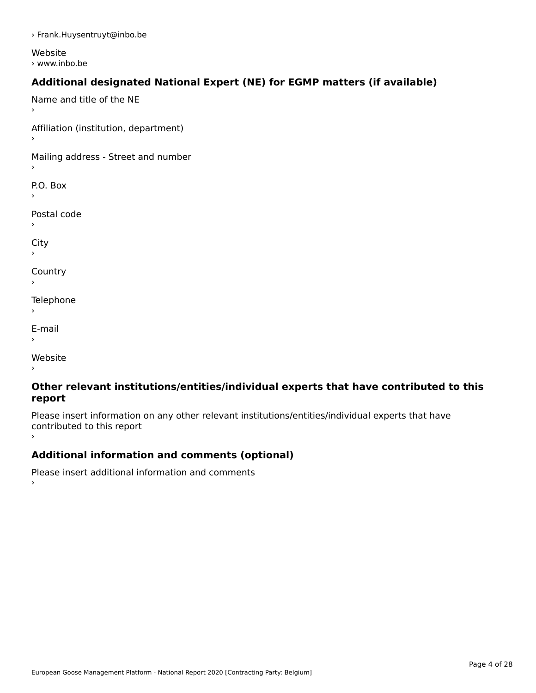› Frank.Huysentruyt@inbo.be

Website › www.inbo.be

# **Additional designated National Expert (NE) for EGMP matters (if available)**

Name and title of the NE›Affiliation (institution, department) Mailing address - Street and number P.O. Box Postal code› $\mathbf{C}^{\text{th}}$ ›**Country** Telephone E-mail›website<br>Website ›

### **Other relevant institutions/entities/individual experts that have contributed to this report**report

Please insert information on any other relevant institutions/entities/individual experts that have riease insert information<br>contributed to this report ›

# **Additional information and comments (optional)**

Please insert additional information and comments ›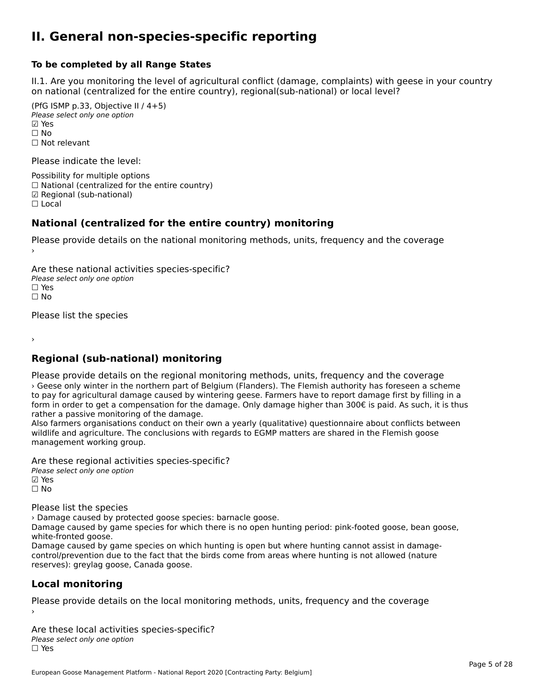### **II. General non-species-specific reporting**

### **To be completed by all Range States**

II.1. Are you monitoring the level of agricultural conflict (damage, complaints) with geese in your country n.i. Are you monitoring the lever or agricultural connict (damage, complaints) with g<br>on national (centralized for the entire country), regional(sub-national) or local level?

(PfG ISMP p.33, Objective II  $(4+5)$ ) Please select only one option ☑ Yes**☑ Yes**<br>□ No □ No<br>□ Not relevant

Please indicate the level:

Possibility for multiple options  $\Box$  National (centralized for the entire country) ☑ Regional (sub-national)

☐ Local

### **National (centralized for the entire country) monitoring**

Please provide details on the national monitoring methods, units, frequency and the coverage

Are these national activities species-specific? Please select only one option *riease*<br>□ Yes<br>□ No  $\Box$  No

Please list the species

›

## **Regional (sub-national) monitoring**

Please provide details on the regional monitoring methods, units, frequency and the coverage › Geese only winter in the northern part of Belgium (Flanders). The Flemish authority has foreseen a scheme to pay for agricultural damage caused by wintering geese. Farmers have to report damage first by filling in a form in order to get a compensation for the damage. Only damage higher than 300€ is paid. As such, it is thus<br>form in order to get a compensation for the damage. Only damage higher than 300€ is paid. As such, it is thus rather a passive monitoring of the damage.

Also farmers organisations conduct on their own a yearly (qualitative) questionnaire about conflicts between Also farmers organisations conduct on their own a yearly (qualitative) questionnaire about connicts between the conclusions with regards to EGMP matters are shared in the Flemish goose management working group.

Are these regional activities species-specific?

Please select only one option ☑ Yes☐ No

Please list the species

› Damage caused by protected goose species: barnacle goose.

whandee caused by protected goose species. Damacle goose.<br>Damage caused by game species for which there is no open hunting period: pink-footed goose, bean goose, white-fronted goose.

Damage caused by game species on which hunting is open but where hunting cannot assist in damagecontrol/prevention due to the fact that the birds come from areas where hunting is not allowed (nature reserves): greylag goose, Canada goose.

### **Local monitoring**

Please provide details on the local monitoring methods, units, frequency and the coverage

Are these local activities species-specific? ∩ne these local detivities<br>Please select only one option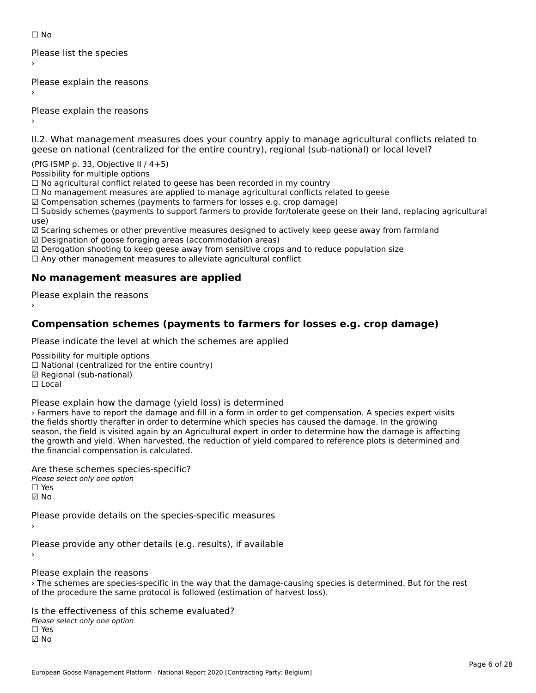☐ No

Please list the species ›

Please explain the reasons

Please explain the reasons ›

II.2. What management measures does your country apply to manage agricultural conflicts related to

(PfG ISMP p. 33, Objective II / 4+5)

Possibility for multiple options

rossibility for multiple options<br>□ No agricultural conflict related to geese has been recorded in my country

 $\Box$  No management measures are applied to manage agricultural conflicts related to geese

☑ Compensation schemes (payments to farmers for losses e.g. crop damage)

© Compensation schemes (payments to farmers for losses e.g. crop damage)<br>□ Subsidy schemes (payments to support farmers to provide for/tolerate geese on their land, replacing agricultural use) ☑ Scaring schemes or other preventive measures designed to actively keep geese away from farmland

☑ Designation of goose foraging areas (accommodation areas)

 $\boxtimes$  Designation of goose foraging areas (accommodation areas)

ය Designation of goose foraging areas (accommodation areas)<br>☑ Derogation shooting to keep geese away from sensitive crops and to reduce population size

⊠ Derogation shooting to keep geese away nom sensitive crops and<br>□ Any other management measures to alleviate agricultural conflict

## **No management measures are applied**

Please explain the reasons ›

## **Compensation schemes (payments to farmers for losses e.g. crop damage)**

Please indicate the level at which the schemes are applied

Possibility for multiple options rossibility for multiple options<br>□ National (centralized for the entire country) □ National (centralized io<br>☑ Regional (sub-national) ☐ Local

Please explain how the damage (yield loss) is determined

› Farmers have to report the damage and fill in a form in order to get compensation. A species expert visits Traffields shave to report the damage and nif in a form in order to get compensation. A species expert v<br>the fields shortly therafter in order to determine which species has caused the damage. In the growing the helds shortly theratter in order to determine which species has caused the damage. In the growing<br>season, the field is visited again by an Agricultural expert in order to determine how the damage is affecting the growth and yield. When harvested, the reduction of yield compared to reference plots is determined and the growth and yield. When harvested, translated.

Are these schemes species-specific?∩ne these senemes spee<br>Please select only one option ☑ No

Please provide details on the species-specific measures

Please provide any other details (e.g. results), if available

Please explain the reasons

› The schemes are species-specific in the way that the damage-causing species is determined. But for the rest The schemes are species-specific in the way that the damage-causing species.<br>of the procedure the same protocol is followed (estimation of harvest loss).

Is the effectiveness of this scheme evaluated? Please select only one option ☐ Yes☑ No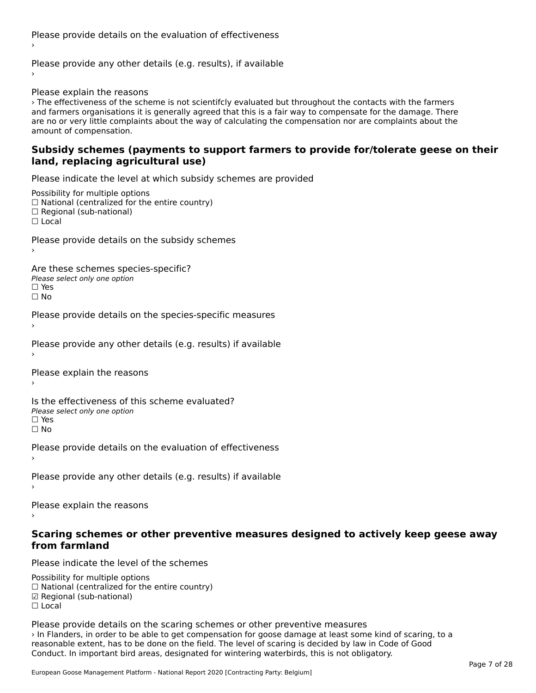Please provide details on the evaluation of effectiveness›

Please provide any other details (e.g. results), if available

Please explain the reasons

› The effectiveness of the scheme is not scientifcly evaluated but throughout the contacts with the farmers and farmers organisations it is generally agreed that this is a fair way to compensate for the damage. There an<br>and farmers organisations it is generally agreed that this is a fair way to compensate for the damage. There and farmers organisations it is generally agreed that this is a fair way to compensate for the damage. There<br>are no or very little complaints about the way of calculating the compensation nor are complaints about the are no or very ntile compi<br>amount of compensation.

### **Subsidy schemes (payments to support farmers to provide for/tolerate geese on their land, replacing agricultural use)**land, replacing agricultural use)

Please indicate the level at which subsidy schemes are provided

Possibility for multiple options  $\Box$  National (centralized for the entire country)  $\Box$  Regional (sub-national) ☐ Local

Please provide details on the subsidy schemes

Are these schemes species-specific?

∩ne these senemes spee<br>Please select only one option □ Yes<br>□ No

Please provide details on the species-specific measures

Please provide any other details (e.g. results) if available

Please explain the reasons›

Is the effectiveness of this scheme evaluated?Please select only one optionriease<br>□ Yes

□ Yes<br>□ No

Please provide details on the evaluation of effectiveness

Please provide any other details (e.g. results) if available

Please explain the reasons

# **Scaring schemes or other preventive measures designed to actively keep geese away from farmland**

Please indicate the level of the schemes

Possibility for multiple options rossibility for multiple options<br>□ National (centralized for the entire country) ☑ Regional (sub-national)☐ Local

Please provide details on the scaring schemes or other preventive measures › In Flanders, in order to be able to get compensation for goose damage at least some kind of scaring, to a Firmanuers, in other to be able to get compensation for goose damage at least some kind of scaring reasonable extent, has to be done on the field. The level of scaring is decided by law in Code of Good Conduct. In important bird areas, designated for wintering waterbirds, this is not obligatory.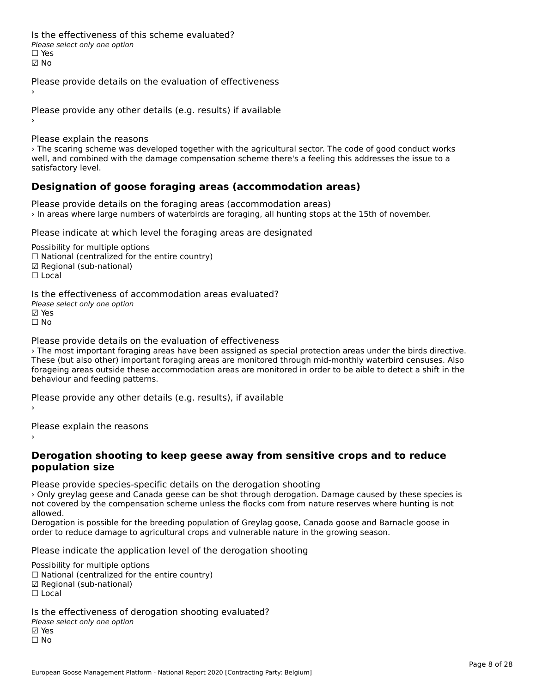Is the effectiveness of this scheme evaluated?□ CITC CITCCLIVERESS OF C<br>Please select only one option ☑ No

Please provide details on the evaluation of effectiveness

Please provide any other details (e.g. results) if available

Please explain the reasons

› The scaring scheme was developed together with the agricultural sector. The code of good conduct works well, and combined with the damage compensation scheme there's a feeling this addresses the issue to a wen, and combine<br>satisfactory level.

## **Designation of goose foraging areas (accommodation areas)**

Please provide details on the foraging areas (accommodation areas) › In areas where large numbers of waterbirds are foraging, all hunting stops at the 15th of november.

Please indicate at which level the foraging areas are designated

Possibility for multiple options  $\Box$  National (centralized for the entire country)  $\Box$  Regional (sub-national)<br> $\Box$  Local

Is the effectiveness of accommodation areas evaluated?Please select only one option ☑ Yes☐ No

Please provide details on the evaluation of effectiveness

› The most important foraging areas have been assigned as special protection areas under the birds directive. These (but also other) important foraging areas are monitored through mid-monthly waterbird censuses. Also forageing areas outside these accommodation areas are monitored in order to be aible to detect a shift in the forageing areas outside these at<br>behaviour and feeding patterns.

Please provide any other details (e.g. results), if available

Please explain the reasons

### **Derogation shooting to keep geese away from sensitive crops and to reduce population size**

Please provide species-specific details on the derogation shooting

› Only greylag geese and Canada geese can be shot through derogation. Damage caused by these species is If you've greying geese and canada geese can be snot through derogation. Damage caused by these species is not<br>And covered by the compensation scheme unless the flocks com from nature reserves where hunting is not

anowed.<br>Derogation is possible for the breeding population of Greylag goose, Canada goose and Barnacle goose in order to reduce damage to agricultural crops and vulnerable nature in the growing season.

Please indicate the application level of the derogation shooting

Possibility for multiple options

™assibility for multiple options<br>□ National (centralized for the entire country)

□ National (centralized io<br>☑ Regional (sub-national)

⊠ Regio<br>□ Local

Is the effectiveness of derogation shooting evaluated?

□ CHECONCHESS OF 0<br>Please select only one option ☐ No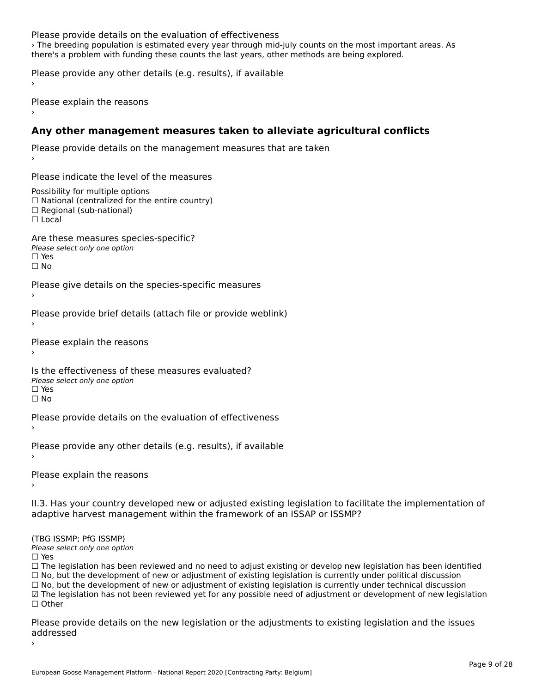### Please provide details on the evaluation of effectiveness

› The breeding population is estimated every year through mid-july counts on the most important areas. As The breeding population is estimated every year through mid-jury counts on the most import.<br>there's a problem with funding these counts the last years, other methods are being explored.

Please provide any other details (e.g. results), if available

Please explain the reasons

## **Any other management measures taken to alleviate agricultural conflicts**

Please provide details on the management measures that are taken

Please indicate the level of the measures

Possibility for multiple options rossibility for multiple options<br>□ National (centralized for the entire country) □ National (centralized io<br>□ Regional (sub-national) ☐ Local

Are these measures species-specific?∩ne these measures spe<br>Please select only one option  $\square$  Yes ☐ No

Please give details on the species-specific measures

Please provide brief details (attach file or provide weblink)

Please explain the reasons

Is the effectiveness of these measures evaluated? □ CIC CILCCLIVENC55 OF C<br>Please select only one option ☐ No

Please provide details on the evaluation of effectiveness

Please provide any other details (e.g. results), if available

Please explain the reasons

II.3. Has your country developed new or adjusted existing legislation to facilitate the implementation of

(TBG ISSMP; PfG ISSMP)

Please select only one option ☐ Yes

 $\square$  Yes

☐ The legislation has been reviewed and no need to adjust existing or develop new legislation has been identified $\Box$  The regislation has been reviewed and no need to adjust existing or develop hew regislation has been identical<br> $\Box$  No, but the development of new or adjustment of existing legislation is currently under political di

☐ No, but the development of new or adjustment of existing legislation is currently under technical discussion □ No, but the development of new or adjustment of existing regislation is currently under technical discussion<br>□ The legislation has not been reviewed yet for any possible need of adjustment or development of new legisla

 $\Box$  Other

Please provide details on the new legislation or the adjustments to existing legislation and the issues addressed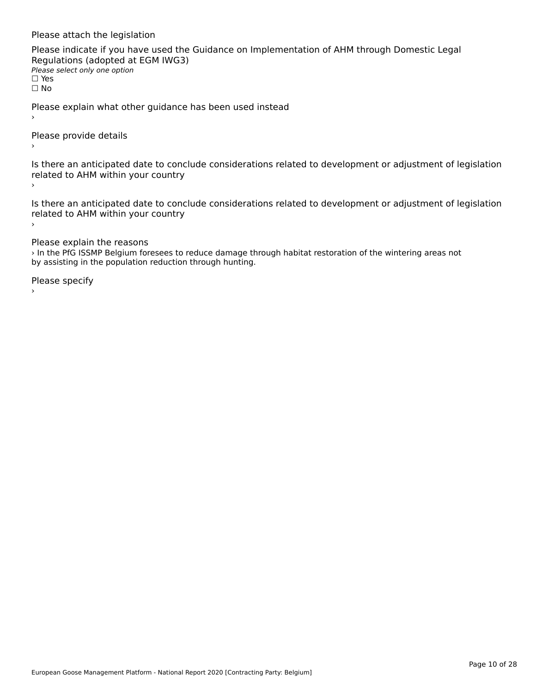### Please attach the legislation

Please indicate if you have used the Guidance on Implementation of AHM through Domestic Legal Regulations (adopted at EGM IWG3) riegulations (adopted a)<br>Please select only one option ☐ Yes☐ No

Please explain what other guidance has been used instead

Please provide details

Is there an anticipated date to conclude considerations related to development or adjustment of legislation is there an anticipated date to cont<br>related to AHM within your country ›

Is there an anticipated date to conclude considerations related to development or adjustment of legislation Proced to Arm within your country  $\bar{\phantom{a}}$ 

Please explain the reasons

› In the PfG ISSMP Belgium foresees to reduce damage through habitat restoration of the wintering areas not an the FIG isside beiginin foresees to reduce damage the population reduction through hunting.

Please specify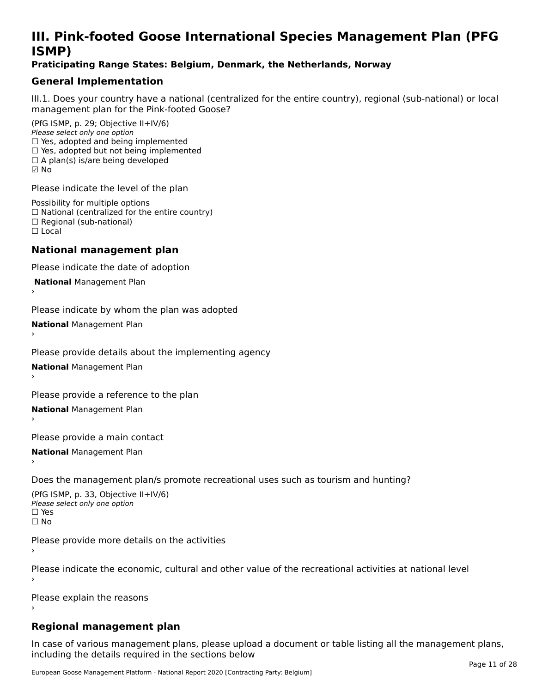# **III. Pink-footed Goose International Species Management Plan (PFG**III. FIIIN-IUULEU GUUSE IIILEI II**atiunai Species Management Fian (FTG**<br>ISMD)

### **Praticipating Range States: Belgium, Denmark, the Netherlands, Norway**

## **General Implementation**

III.1. Does your country have a national (centralized for the entire country), regional (sub-national) or local

(PfG ISMP, p. 29; Objective II+IV/6) Please select only one option *riease select only one option*<br>□ Yes, adopted and being implemented  $\Box$  res, adopted and being implemented<br> $\Box$  Yes, adopted but not being implemented  $\Box$  A plan(s) is/are being developed ☑ No

Please indicate the level of the plan

Possibility for multiple options rossibility for multiple options<br>□ National (centralized for the entire country) □ National (centralized io<br>□ Regional (sub-national) ☐ Local

### **National management plan**

Please indicate the date of adoption

 **National** Management Plan

›

Please indicate by whom the plan was adopted

**National** Management Plan ›

Please provide details about the implementing agency

**National** Management Plan ›

Please provide a reference to the plan

**National** Management Plan ›

Please provide a main contact

**National** Management Plan ›

Does the management plan/s promote recreational uses such as tourism and hunting?

(PfG ISMP, p. 33, Objective II+IV/6) Please select only one optionPlease select only one option  $\square$  Yes ☐ No

Please provide more details on the activities

Please indicate the economic, cultural and other value of the recreational activities at national level

Please explain the reasons

## **Regional management plan**

In case of various management plans, please upload a document or table listing all the management plans,in case or various management plans, please uploa<br>in the direct below the its required in the sections below including the details required in the sections below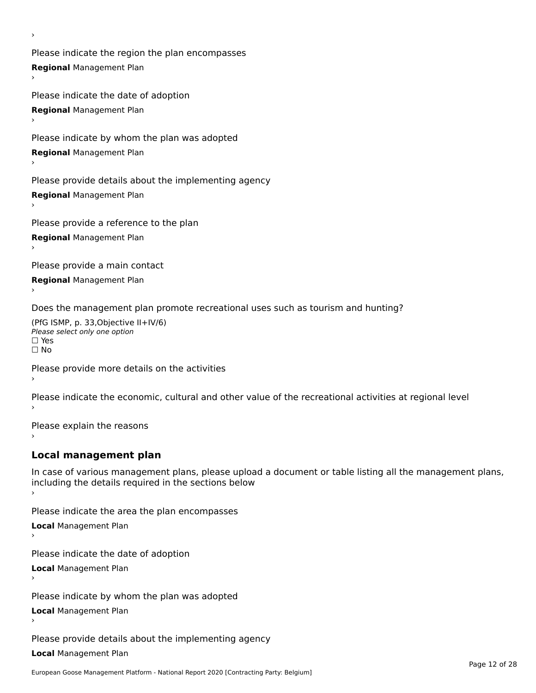Please indicate the region the plan encompasses **Regional** Management Plan

Please indicate the date of adoption **Regional** Management Plan ›

Please indicate by whom the plan was adopted

**Regional** Management Plan

›

Please provide details about the implementing agency

**Regional** Management Plan

Please provide a reference to the plan

**Regional** Management Plan

Please provide a main contact

**Regional** Management Plan

Does the management plan promote recreational uses such as tourism and hunting?

(PfG ISMP, p. 33,Objective II+IV/6) ∩∩ וויוכו פון<br>Please select only one option<br>□ Yes □ Yes<br>□ No

Please provide more details on the activities

Please indicate the economic, cultural and other value of the recreational activities at regional level

Please explain the reasons ›

## **Local management plan**

In case of various management plans, please upload a document or table listing all the management plans, In case of various management plans, please uploa<br>including the details required in the sections below

Please indicate the area the plan encompasses

**Local** Management Plan

Please indicate the date of adoption

**Local** Management Plan›

Please indicate by whom the plan was adopted

**Local** Management Plan

Please provide details about the implementing agency

**Local** Management Plan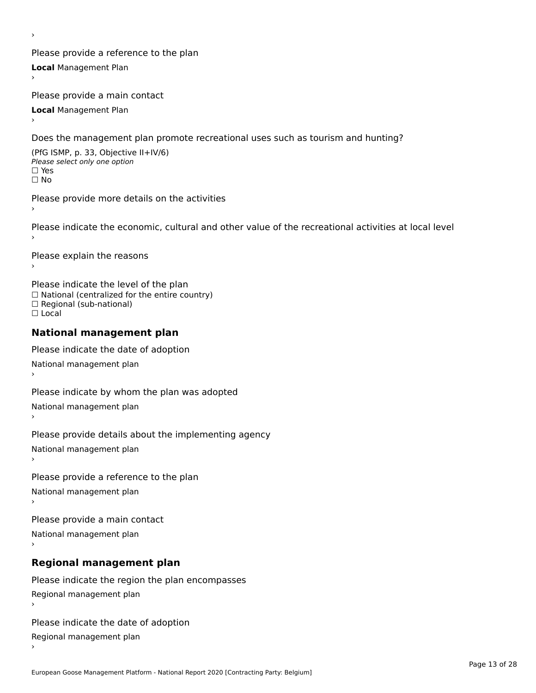Please provide a reference to the plan **Local** Management Plan

Please provide a main contact

**Local** Management Plan

›

Does the management plan promote recreational uses such as tourism and hunting?

(PfG ISMP, p. 33, Objective II+IV/6) Please select only one option☐ Yes☐ No

Please provide more details on the activities

Please indicate the economic, cultural and other value of the recreational activities at local level

Please explain the reasons ›

Please indicate the level of the plan ∩ease marcate the lever of the plan<br>□ National (centralized for the entire country) □ National (centralized io<br>□ Regional (sub-national) ☐ Local

### **National management plan**

Please indicate the date of adoption National management plan

Please indicate by whom the plan was adopted National management plan ›

Please provide details about the implementing agency

National management plan

Please provide a reference to the plan

National management plan

Please provide a main contact

National management plan

# **Regional management plan**

Please indicate the region the plan encompasses Regional management plan

Please indicate the date of adoption

Regional management plan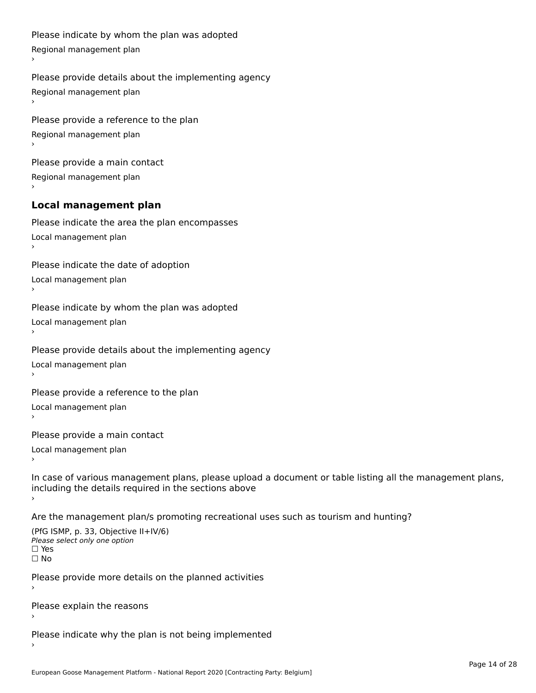```
Please indicate by whom the plan was adopted Regional management plan
Please provide details about the implementing agency Regional management plan
Please provide a reference to the plan Regional management plan
Please provide a main contact Regional management plan
Local management plan
Please indicate the area the plan encompasses Local management plan›Please indicate the date of adoption Local management planا<br>ا
Please indicate by whom the plan was adopted Local management plan›Please provide details about the implementing agency Local management planا<br>ا
Please provide a reference to the plan Local management plan›Please provide a main contact Local management planا<br>ا
In case of various management plans, please upload a document or table listing all the management plans,in case or various management plans, please upload
including the details required in the sections above
Are the management plan/s promoting recreational uses such as tourism and hunting?
```

```
(PfG ISMP, p. 33, Objective II+IV/6)
Please select only one option☐ Yes☐ No
```
Please provide more details on the planned activities

Please explain the reasons›

Please indicate why the plan is not being implemented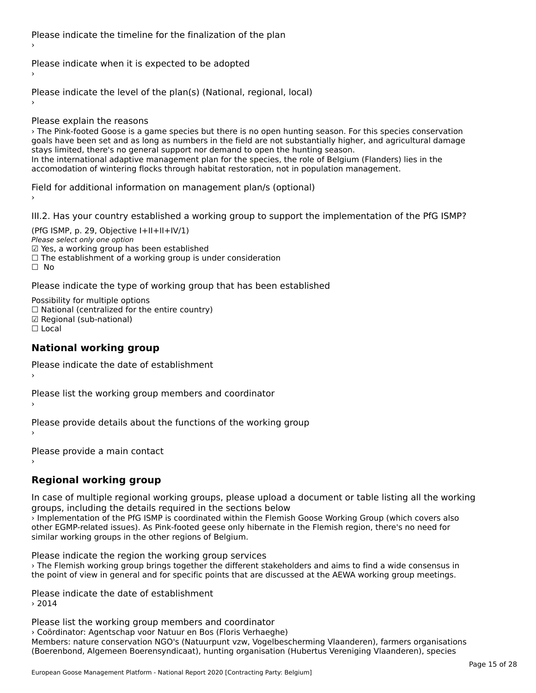Please indicate the timeline for the finalization of the plan

Please indicate when it is expected to be adopted

Please indicate the level of the plan(s) (National, regional, local)

Please explain the reasons

› The Pink-footed Goose is a game species but there is no open hunting season. For this species conservation goals have been set and as long as numbers in the field are not substantially higher, and agricultural damage goals have been set and as long as numbers in the neld are not substantially ingh<br>stays limited, there's no general support nor demand to open the hunting season. stays immed, there s no general support nor demand to open the numing season.<br>In the international adaptive management plan for the species, the role of Belgium (Flanders) lies in the accomodation of wintering flocks through habitat restoration, not in population management.<br>accomodation of wintering flocks through habitat restoration, not in population management.

Field for additional information on management plan/s (optional)

III.2. Has your country established a working group to support the implementation of the PfG ISMP?

(PfG ISMP, p. 29, Objective I+II+II+IV/1)Please select only one option riease select only one option<br>☑ Yes, a working group has been established ⊠ाes, a working group nas been established<br>□ The establishment of a working group is under consideration ☐ No

Please indicate the type of working group that has been established

Possibility for multiple options ™assibility for multiple options<br>□ National (centralized for the entire country) ☑ Regional (sub-national)☐ Local

### **National working group**

Please indicate the date of establishment›

Please list the working group members and coordinator ›

Please provide details about the functions of the working group ›

Please provide a main contact

›

# **Regional working group**

In case of multiple regional working groups, please upload a document or table listing all the working groups, including the details required in the sections below

› Implementation of the PfG ISMP is coordinated within the Flemish Goose Working Group (which covers also other EGMP-related issues). As Pink-footed geese only hibernate in the Flemish region, there's no need for other EGMP-related issues). As Pink-footed geese only hibernate in the Flemish region, there's no need for similar working groups in the other regions of Belgium.

Please indicate the region the working group services

› The Flemish working group brings together the different stakeholders and aims to find a wide consensus in the point of view in general and for specific points that are discussed at the AEWA working group meetings.

Please indicate the date of establishment › 2014

Please list the working group members and coordinator › Coördinator: Agentschap voor Natuur en Bos (Floris Verhaeghe)Members: nature conservation NGO's (Natuurpunt vzw, Vogelbescherming Vlaanderen), farmers organisations mermers. nature conservation NGO's (Natuurpunt V2W, Vogelbeschemming Vlaanderen), farmers organisatio<br>(Boerenbond, Algemeen Boerensyndicaat), hunting organisation (Hubertus Vereniging Vlaanderen), species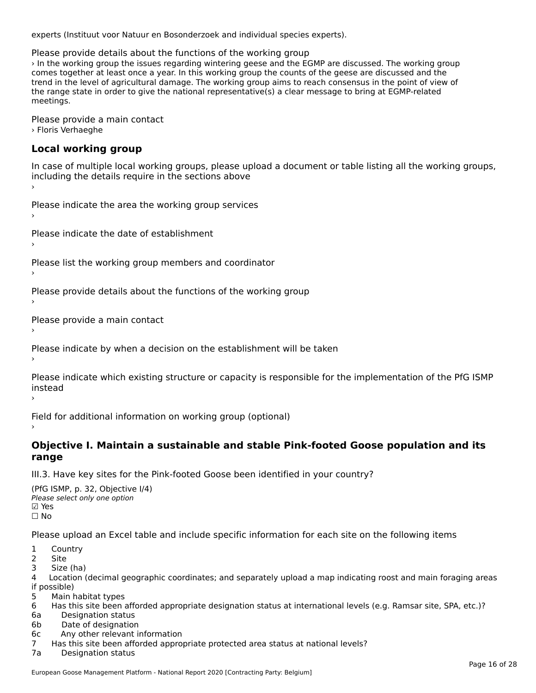experts (Instituut voor Natuur en Bosonderzoek and individual species experts).

Please provide details about the functions of the working group

› In the working group the issues regarding wintering geese and the EGMP are discussed. The working group The comes together at least once a year. In this working group the counts of the geese are discussed and the view of agricultural damage. The working group the counts of the geese are discussed and the consensus in the poi the range state in order to a clear the national representative order to be a clear message to be concluded to the range state in order to give the national representative(s) a clear message to bring at LGMP-related<br>... meetings.

Please provide a main contact › Floris Verhaeghe

# **Local working group**

In case of multiple local working groups, please upload a document or table listing all the working groups, including the details require in the sections above

Please indicate the area the working group services ›

Please indicate the date of establishment ›

Please list the working group members and coordinator ›

Please provide details about the functions of the working group ›

Please provide a main contact ›

Please indicate by when a decision on the establishment will be taken

Please indicate which existing structure or capacity is responsible for the implementation of the PfG ISMP instead

Field for additional information on working group (optional)

# **Objective I. Maintain a sustainable and stable Pink-footed Goose population and its range**

III.3. Have key sites for the Pink-footed Goose been identified in your country?

(PfG ISMP, p. 32, Objective I/4) (110 15111 , p. 52, Objective<br>Please select only one option ⊠ Yes<br>□ No

Please upload an Excel table and include specific information for each site on the following items

- $1 \quad \alpha$
- 1 CUUI<br>2 Cite
- 2 Site<br>3 Size (ha)

د احداد<br>4 Location (decimal geographic coordinates; and separately upload a map indicating roost and main foraging areas 4 Location<br>if possible)

- 5 Main habitat types
- 6 Has this site been afforded appropriate designation status at international levels (e.g. Ramsar site, SPA, etc.)?
- 6a Designation status
- 6b Date of designation
- 6c Any other relevant information
- 7 Has this site been afforded appropriate protected area status at national levels? 7a Designation status
-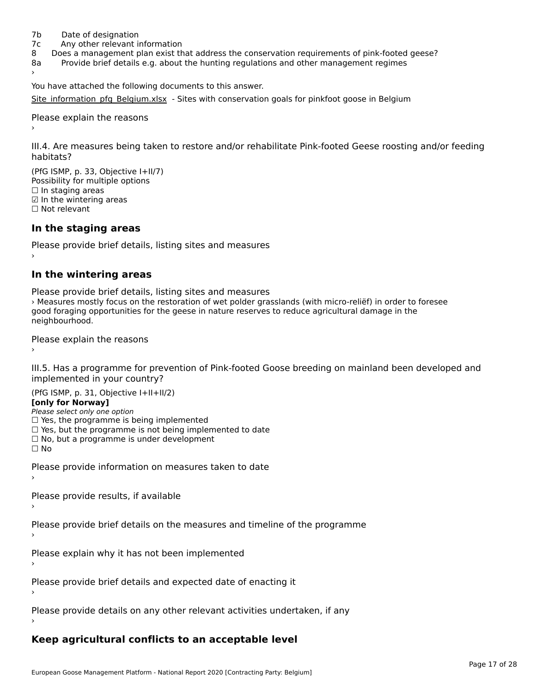- 7b Date of designation
- 7c Any other relevant information
- 8 Does a management plan exist that address the conservation requirements of pink-footed geese?
- 8a Provide brief details e.g. about the hunting regulations and other management regimes 8a

You have attached the following documents to this answer.

[Site\\_information\\_pfg\\_Belgium.xlsx](http://aewa-ort.ort-production.linode.unep-wcmc.org/answers/2657113/documents/1564) - Sites with conservation goals for pinkfoot goose in Belgium

Please explain the reasons

III.4. Are measures being taken to restore and/or rehabilitate Pink-footed Geese roosting and/or feeding

 $(DFC | CMP = 32, Okisative L+11/7)$ Possibility for multiple optionsrossibility for multiple options  $\Box$  In staging areas □ in staging areas<br>☑ In the wintering areas ☐ Not relevant

## **In the staging areas**

Please provide brief details, listing sites and measures ›

### **In the wintering areas**

Please provide brief details, listing sites and measures rease provide brief details, itself grass and measures<br>> Measures mostly focus on the restoration of wet polder grasslands (with micro-reliëf) in order to foresee good foraging opportunities for the geese in nature reserves to reduce agricultural damage in the good ioraging o<br>neighbourhood.

Please explain the reasons

III.5. Has a programme for prevention of Pink-footed Goose breeding on mainland been developed and

(PfG ISMP, p. 31, Objective I+II+II/2)

**[only for Norway]**

Please select only one option

 $\Box$  Yes, the programme is being implemented

- □ Yes, but the programme is not being implemented to date □ Tes, but the programme is not being implem<br>□ No, but a programme is under development
- 

☐ No

Please provide information on measures taken to date

Please provide results, if available

Please provide brief details on the measures and timeline of the programme

Please explain why it has not been implemented

Please provide brief details and expected date of enacting it

Please provide details on any other relevant activities undertaken, if any

## **Keep agricultural conflicts to an acceptable level**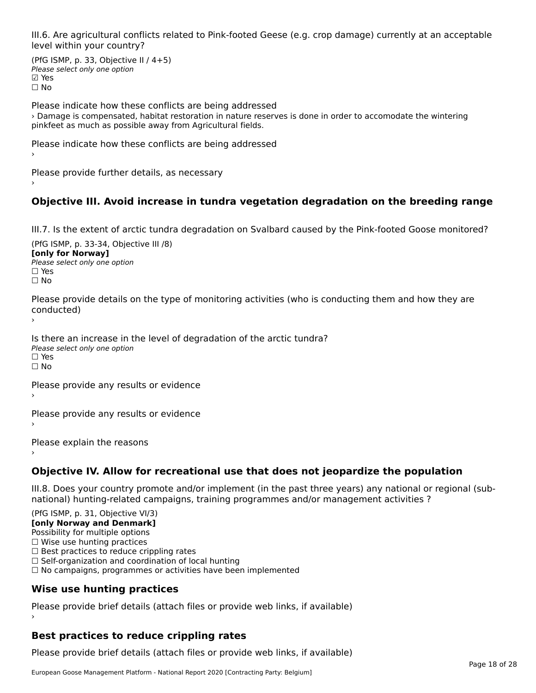III.6. Are agricultural conflicts related to Pink-footed Geese (e.g. crop damage) currently at an acceptable level within your country?

(PfG ISMP, p. 33, Objective II  $/$  4+5) Please select only one optionriease<br>□ Yes **☑ Yes**<br>□ No

Please indicate how these conflicts are being addressed › Damage is compensated, habitat restoration in nature reserves is done in order to accomodate the wintering pinkfeet as much as possible away from Agricultural fields.

Please indicate how these conflicts are being addressed

Please provide further details, as necessary ›

# **Objective III. Avoid increase in tundra vegetation degradation on the breeding range**

III.7. Is the extent of arctic tundra degradation on Svalbard caused by the Pink-footed Goose monitored?

 $(DfG | GMP, p. 33-34, O$ **[only for Norway]**[only for Norway] **Please select only one option**  $\square$  Yes ☐ No

Please provide details on the type of monitoring activities (who is conducting them and how they are conducted)

Is there an increase in the level of degradation of the arctic tundra? Please select only one option ☐ Yes☐ No

Please provide any results or evidence

Please provide any results or evidence

Please explain the reasons

**Objective IV. Allow for recreational use that does not jeopardize the population**

III.8. Does your country promote and/or implement (in the past three years) any national or regional (subnno. Does your country promote and/or implement (in the past tillee years) any national or<br>national) hunting-related campaigns, training programmes and/or management activities ?

(PfG ISMP, p. 31, Objective VI/3) **[only Norway and Denmark]** Possibility for multiple options ☐ Wise use hunting practices  $\Box$  Best practices to reduce crippling rates<br> $\Box$  Best practices to reduce crippling rates  $\Box$  Self-organization and coordination of local hunting □ Sen-organization and coordination or local nunting<br>□ No campaigns, programmes or activities have been implemented **Wise use hunting practices**

Please provide brief details (attach files or provide web links, if available) ›

# **Best practices to reduce crippling rates**

Please provide brief details (attach files or provide web links, if available)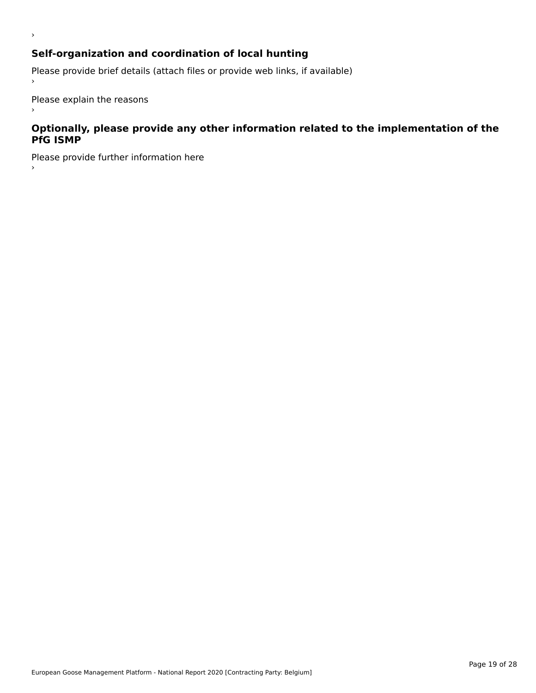# **Self-organization and coordination of local hunting**

Please provide brief details (attach files or provide web links, if available)

Please explain the reasons

›

 $\,$ 

### **Optionally, please provide any other information related to the implementation of the PfG ISMP**

Please provide further information here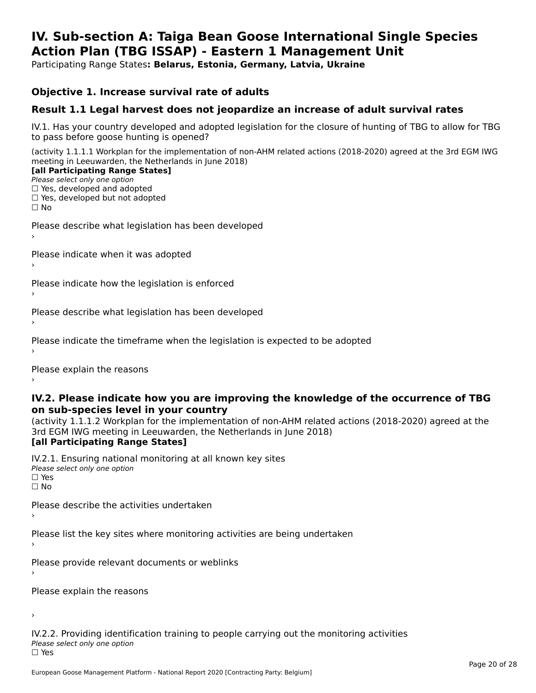### **IV. Sub-section A: Taiga Bean Goose International Single Species Action Plan (TBG ISSAP) - Eastern 1 Management UnitAction Plan (TBG ISSAP) - Eastern 1 Management Unit**

Participating Range States**: Belarus, Estonia, Germany, Latvia, Ukraine** 

### **Objective 1. Increase survival rate of adults**

## **Result 1.1 Legal harvest does not jeopardize an increase of adult survival rates**

IV.1. Has your country developed and adopted legislation for the closure of hunting of TBG to allow for TBG IV.1. Thas your country developed and add<br>to pass before goose hunting is opened?

(activity 1.1.1.1 Workplan for the implementation of non-AHM related actions (2018-2020) agreed at the 3rd EGM IWG meeting in Leeuwarden, the Netherlands in June 2018) **[all Participating Range States]**

### [all Participating Range States]

Please select only one option ☐ Yes, developed and adopted

☐ Yes, developed but not adopted

 $\Box$  ies, developed but not adopted

Please describe what legislation has been developed

Please indicate when it was adopted

Please indicate how the legislation is enforced

Please describe what legislation has been developed

Please indicate the timeframe when the legislation is expected to be adopted

Please explain the reasons

### **IV.2. Please indicate how you are improving the knowledge of the occurrence of TBG on sub-species level in your country**on sub-species level in your country

on sub-species fever in your country<br>(activity 1.1.1.2 Workplan for the implementation of non-AHM related actions (2018-2020) agreed at the **Brd EGM IWG meeting in Leeuwarden, the Netherlands in June 2018)** 

### [all Participating Range States]

IV.2.1. Ensuring national monitoring at all known key sites <del>■ Western Chroning</del> Hational<br>Please select only one option  $\square$  Yes ☐ No

Please describe the activities undertaken

Please list the key sites where monitoring activities are being undertaken

Please provide relevant documents or weblinks

Please explain the reasons

›

IV.2.2. Providing identification training to people carrying out the monitoring activities <del>■ Western Fortung</del> Recrement<br>Please select only one option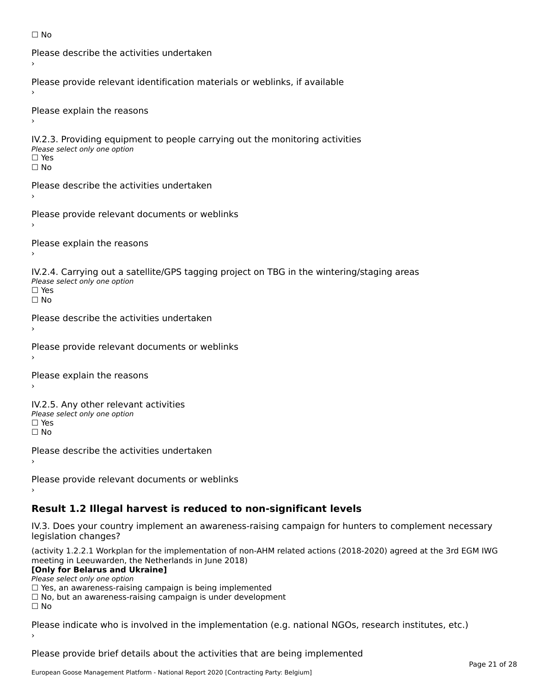```
☐ No
```

```
Please describe the activities undertaken›Please provide relevant identification materials or weblinks, if available
Please explain the reasons
IV.2.3. Providing equipment to people carrying out the monitoring activities
Please select only one option
☐ Yes□ Yes<br>□ No
Please describe the activities undertaken›Please provide relevant documents or weblinks
Please explain the reasons
IV.2.4. Carrying out a satellite/GPS tagging project on TBG in the wintering/staging areas
<del>∩</del><br>Please select only one option
□ Yes<br>□ No
Please describe the activities undertaken›Please provide relevant documents or weblinks
Please explain the reasons
IV.2.5. Any other relevant activities
Please select only one option
☐ Yes□ Yes<br>□ No
Please describe the activities undertaken›Please provide relevant documents or weblinks
Result 1.2 Illegal harvest is reduced to non-significant levels
```
IV.3. Does your country implement an awareness-raising campaign for hunters to complement necessary rv.5. Does your court<br>legislation changes?

(activity 1.2.2.1 Workplan for the implementation of non-AHM related actions (2018-2020) agreed at the 3rd EGM IWG meeting in Leeuwarden, the Netherlands in June 2018)

### **[Only for Belarus and Ukraine]**

**LOTTLY TOT Detailed and O**<br>Please select only one option

riease select only one option<br>□ Yes, an awareness-raising campaign is being implemented<br>□ Yes, an awareness-raising campaign is under development

□ No, but an awareness-raising campaign is under development<br>□ N。

Please indicate who is involved in the implementation (e.g. national NGOs, research institutes, etc.)

Please provide brief details about the activities that are being implemented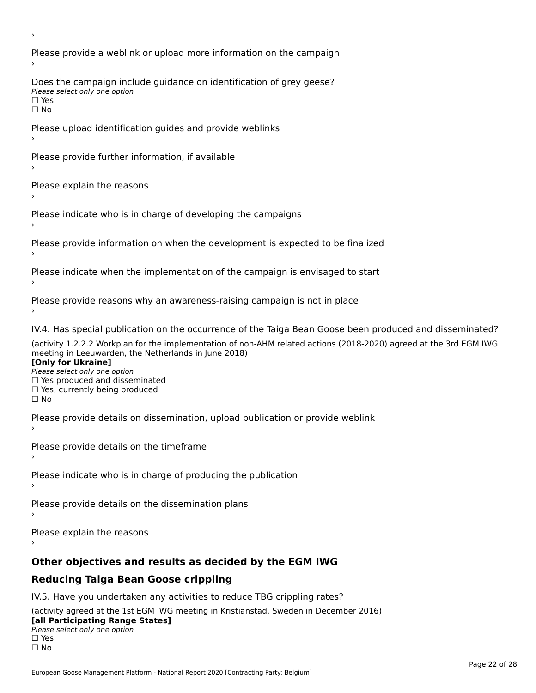Please provide a weblink or upload more information on the campaign Does the campaign include guidance on identification of grey geese? **DOCS** the campaign mer<br>Please select only one option □ Yes<br>□ No Please upload identification guides and provide weblinks Please provide further information, if available Please explain the reasons Please indicate who is in charge of developing the campaigns Please provide information on when the development is expected to be finalized Please indicate when the implementation of the campaign is envisaged to start Please provide reasons why an awareness-raising campaign is not in place IV.4. Has special publication on the occurrence of the Taiga Bean Goose been produced and disseminated? (activity 1.2.2.2 Workplan for the implementation of non-AHM related actions (2018-2020) agreed at the 3rd EGM IWG **[Only for Ukraine] □ Yes produced and disseminated**<br>Please select only one option  $\Box$  ies produced and disseminated  $\Box$  ies, currently being produced Please provide details on dissemination, upload publication or provide weblink Please provide details on the timeframe Please indicate who is in charge of producing the publication Please provide details on the dissemination plans Please explain the reasons **Other objectives and results as decided by the EGM IWG Reducing Taiga Bean Goose crippling** IV.5. Have you undertaken any activities to reduce TBG crippling rates? (activity agreed at the 1st EGM IWG meeting in Kristianstad, Sweden in December 2016)

#### **[all Participating Range States]**[all Participating Range States]

**Lan T articipating Range**<br>Please select only one option

□ Yes<br>□ No

›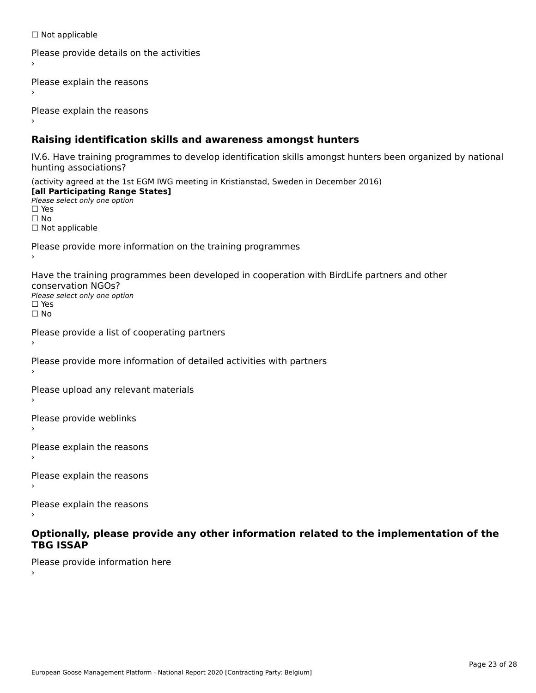☐ Not applicable

```
Please provide details on the activities
```
Please explain the reasons

Please explain the reasons

## **Raising identification skills and awareness amongst hunters**

IV.6. Have training programmes to develop identification skills amongst hunters been organized by national rv.o. riave training pro<br>hunting associations?

(activity agreed at the 1st EGM IWG meeting in Kristianstad, Sweden in December 2016) **[all Participating Range States]**[all Participating Range States] **Lan Tarticipating Range**<br>Please select only one option ☐ Yes☐ No□ Not applicable

Please provide more information on the training programmes

Have the training programmes been developed in cooperation with BirdLife partners and other conservation NGOs?Please select only one option☐ Yes☐ No

```
Please provide a list of cooperating partners
```
Please provide more information of detailed activities with partners

Please upload any relevant materials

Please provide weblinks

Please explain the reasons

Please explain the reasons›

Please explain the reasons

### **Optionally, please provide any other information related to the implementation of the TBG ISSAPTBG ISSAP**

Please provide information here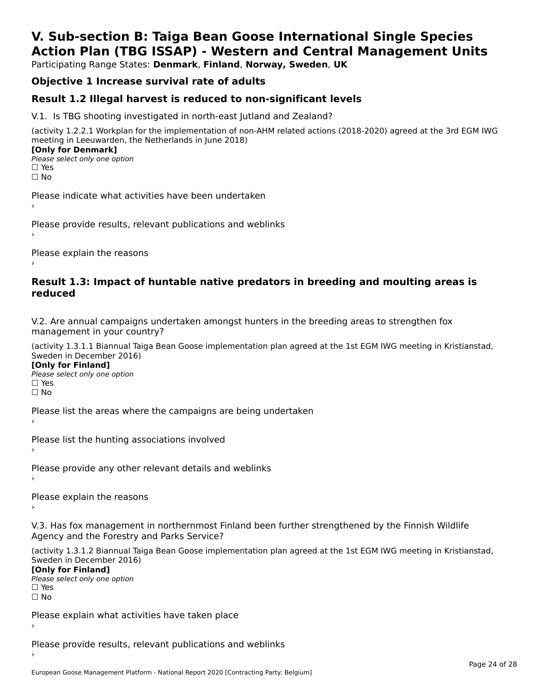# **V. Sub-section B: Taiga Bean Goose International Single SpeciesAction Plan (TBG ISSAP) - Western and Central Management Units**

Participating Range States: **Denmark**, **Finland**, **Norway, Sweden**, **UK**

## **Objective 1 Increase survival rate of adults**

## **Result 1.2 Illegal harvest is reduced to non-significant levels**

V.1. Is TBG shooting investigated in north-east Jutland and Zealand?

(activity 1.2.2.1 Workplan for the implementation of non-AHM related actions (2018-2020) agreed at the 3rd EGM IWG meeting in Leeuwarden, the Netherlands in June 2018) **[Only for Denmark] LOTTLY TOT DETITIONS**<br>Please select only one option

*riease*<br>□ Yes<br>□ No

Please indicate what activities have been undertaken›

Please provide results, relevant publications and weblinks ›

Please explain the reasons

### **Result 1.3: Impact of huntable native predators in breeding and moulting areas is reduced**

V.2. Are annual campaigns undertaken amongst hunters in the breeding areas to strengthen fox v.z. Are annual campaigns und<br>management in your country?

(activity 1.3.1.1 Biannual Taiga Bean Goose implementation plan agreed at the 1st EGM IWG meeting in Kristianstad, Sweden in December 2016)

**[Only for Finland]** Please select only one optionriease<br>□ Yes ים וכ<br>⊡ No

Please list the areas where the campaigns are being undertaken

Please list the hunting associations involved

Please provide any other relevant details and weblinks ›

Please explain the reasons›

V.3. Has fox management in northernmost Finland been further strengthened by the Finnish Wildlife v.5. Has fox management in northernmost F<br>Agency and the Forestry and Parks Service?

(activity 1.3.1.2 Biannual Taiga Bean Goose implementation plan agreed at the 1st EGM IWG meeting in Kristianstad, Sweden in December 2016) Sweden in December 2016)

[Only for Finland]

**Please select only one option** □ Yes<br>□ No

Please explain what activities have taken place

Please provide results, relevant publications and weblinks ›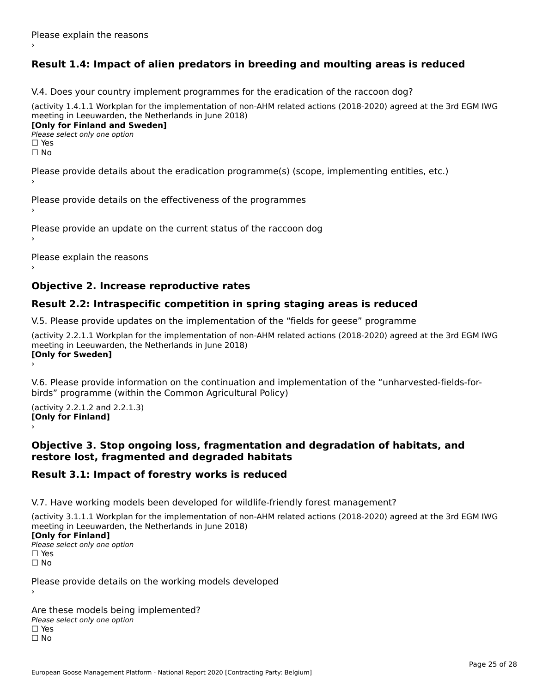# **Result 1.4: Impact of alien predators in breeding and moulting areas is reduced**

V.4. Does your country implement programmes for the eradication of the raccoon dog?

(activity 1.4.1.1 Workplan for the implementation of non-AHM related actions (2018-2020) agreed at the 3rd EGM IWG meeting in Leeuwarden, the Netherlands in June 2018) **[Only for Finland and Sweden]**

**Please select only one option** 

□ Yes<br>□ No

Please provide details about the eradication programme(s) (scope, implementing entities, etc.)

Please provide details on the effectiveness of the programmes

Please provide an update on the current status of the raccoon dog

Please explain the reasons

## **Objective 2. Increase reproductive rates**

## **Result 2.2: Intraspecific competition in spring staging areas is reduced**

V.5. Please provide updates on the implementation of the "fields for geese" programme

(activity 2.2.1.1 Workplan for the implementation of non-AHM related actions (2018-2020) agreed at the 3rd EGM IWG meeting in Leeuwarden, the Netherlands in June 2018) Loury for Swedent

V.6. Please provide information on the continuation and implementation of the "unharvested-fields-forbirds" programme (within the Common Agricultural Policy)birds" programme (within the Common Agricultural Policy)

(activity 2.2.1.2 and 2.2.1.3) **[Only for Finland]** ›

### **Objective 3. Stop ongoing loss, fragmentation and degradation of habitats, and restore lost, fragmented and degraded habitats**

## **Result 3.1: Impact of forestry works is reduced**

V.7. Have working models been developed for wildlife-friendly forest management?

(activity 3.1.1.1 Workplan for the implementation of non-AHM related actions (2018-2020) agreed at the 3rd EGM IWG meeting in Leeuwarden, the Netherlands in June 2018)

### **[Only for Finland]**

**Please select only one option** □ Yes<br>□ No

Please provide details on the working models developed

Are these models being implemented? ∩ne enese moders being<br>Please select only one option □ Yes<br>□ No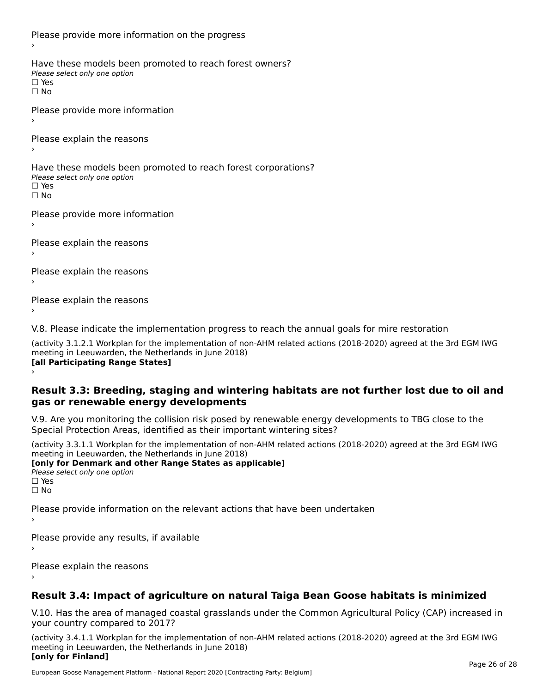Please provide more information on the progress Have these models been promoted to reach forest owners? ∩ave these models bee<br>Please select only one option □ Yes<br>□ No Please provide more information Please explain the reasons ›Have these models been promoted to reach forest corporations? ∩ave these models bee<br>Please select only one option □ Yes<br>□ No Please provide more information Please explain the reasons ›Please explain the reasons›Please explain the reasons›

V.8. Please indicate the implementation progress to reach the annual goals for mire restoration

(activity 3.1.2.1 Workplan for the implementation of non-AHM related actions (2018-2020) agreed at the 3rd EGM IWG meeting in Leeuwarden, the Netherlands in June 2018) **[all Participating Range States]** ›

**Result 3.3: Breeding, staging and wintering habitats are not further lost due to oil and gas or renewable energy developments**gas or renewable energy developments

V.9. Are you monitoring the collision risk posed by renewable energy developments to TBG close to the Special Protection Areas, identified as their important wintering sites?

(activity 3.3.1.1 Workplan for the implementation of non-AHM related actions (2018-2020) agreed at the 3rd EGM IWG meeting in Leeuwarden, the Netherlands in June 2018) **[only for Denmark and other Range States as applicable]**

```
Please select only one option
□ Yes<br>□ No
```
Please provide information on the relevant actions that have been undertaken ›

Please provide any results, if available

Please explain the reasons

# **Result 3.4: Impact of agriculture on natural Taiga Bean Goose habitats is minimized**

V.10. Has the area of managed coastal grasslands under the Common Agricultural Policy (CAP) increased in

(activity 3.4.1.1 Workplan for the implementation of non-AHM related actions (2018-2020) agreed at the 3rd EGM IWG meeting in Leeuwarden, the Netherlands in June 2018) **[only for Finland]**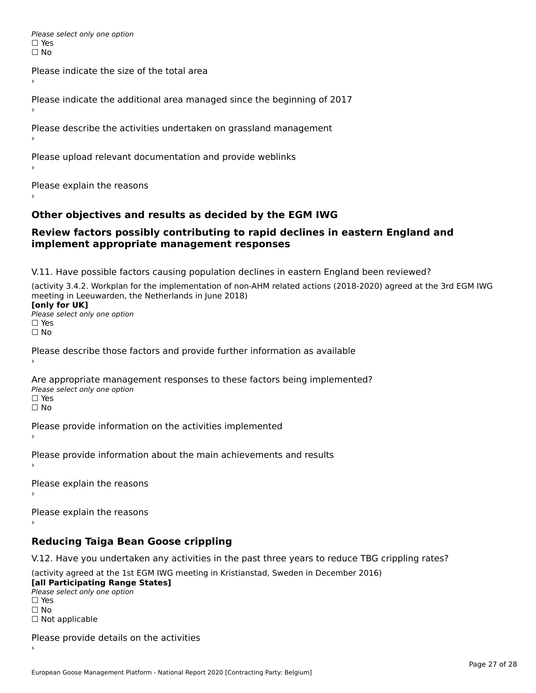Please select only one option □ Yes<br>□ No

Please indicate the size of the total area›

Please indicate the additional area managed since the beginning of 2017

Please describe the activities undertaken on grassland management

Please upload relevant documentation and provide weblinks

Please explain the reasons

## **Other objectives and results as decided by the EGM IWG**

### **Review factors possibly contributing to rapid declines in eastern England and implement appropriate management responses**implement appropriate management responses

V.11. Have possible factors causing population declines in eastern England been reviewed?

(activity 3.4.2. Workplan for the implementation of non-AHM related actions (2018-2020) agreed at the 3rd EGM IWG meeting in Leeuwarden, the Netherlands in June 2018)<br>**[only for UK]** 

**∐omy for OR**<br>Please select only one option □ Yes<br>□ No

Please describe those factors and provide further information as available

Are appropriate management responses to these factors being implemented? Please select only one option ים<br>⊡ No

Please provide information on the activities implemented

Please provide information about the main achievements and results›

Please explain the reasons

Please explain the reasons

**Reducing Taiga Bean Goose crippling**

V.12. Have you undertaken any activities in the past three years to reduce TBG crippling rates?

(activity agreed at the 1st EGM IWG meeting in Kristianstad, Sweden in December 2016) **[all Participating Range States]**

[all Participating Range States] Please select only one option☐ Yesים<br>⊡ No □ Not applicable

Please provide details on the activities